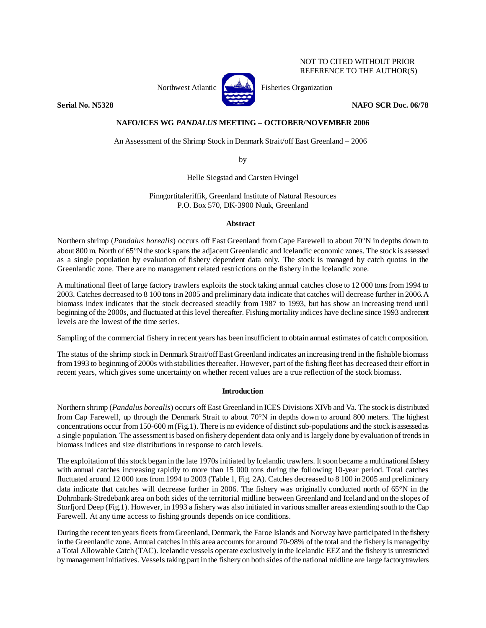# NOT TO CITED WITHOUT PRIOR REFERENCE TO THE AUTHOR(S)



Northwest Atlantic **Research Fisheries Organization** 

**Serial No. N5328 NAFO SCR Doc. 06/78** 

# **NAFO/ICES WG** *PANDALUS* **MEETING – OCTOBER/NOVEMBER 2006**

An Assessment of the Shrimp Stock in Denmark Strait/off East Greenland – 2006

by

Helle Siegstad and Carsten Hvingel

Pinngortitaleriffik, Greenland Institute of Natural Resources P.O. Box 570, DK-3900 Nuuk, Greenland

# **Abstract**

Northern shrimp (*Pandalus borealis*) occurs off East Greenland from Cape Farewell to about 70°N in depths down to about 800 m. North of 65°N the stock spans the adjacent Greenlandic and Icelandic economic zones. The stock is assessed as a single population by evaluation of fishery dependent data only. The stock is managed by catch quotas in the Greenlandic zone. There are no management related restrictions on the fishery in the Icelandic zone.

A multinational fleet of large factory trawlers exploits the stock taking annual catches close to 12 000 tons from 1994 to 2003. Catches decreased to 8 100 tons in 2005 and preliminary data indicate that catches will decrease further in 2006.A biomass index indicates that the stock decreased steadily from 1987 to 1993, but has show an increasing trend until beginning of the 2000s, and fluctuated at this level thereafter. Fishing mortality indices have decline since 1993 and recent levels are the lowest of the time series.

Sampling of the commercial fishery in recent years has been insufficient to obtain annual estimates of catch composition.

The status of the shrimp stock in Denmark Strait/off East Greenland indicates an increasing trend in the fishable biomass from 1993 to beginning of 2000s with stabilities thereafter. However, part of the fishing fleet has decreased their effort in recent years, which gives some uncertainty on whether recent values are a true reflection of the stock biomass.

# **Introduction**

Northern shrimp (*Pandalus borealis*) occurs off East Greenland in ICES Divisions XIVb and Va. The stock is distributed from Cap Farewell, up through the Denmark Strait to about 70°N in depths down to around 800 meters. The highest concentrations occur from 150-600 m (Fig.1). There is no evidence of distinct sub-populations and the stock is assessed as a single population. The assessment is based on fishery dependent data only and is largely done by evaluation of trends in biomass indices and size distributions in response to catch levels.

The exploitation of this stock began in the late 1970s initiated by Icelandic trawlers. It soon became a multinational fishery with annual catches increasing rapidly to more than 15 000 tons during the following 10-year period. Total catches fluctuated around 12 000 tons from 1994 to 2003 (Table 1, Fig. 2A). Catches decreased to 8 100 in 2005 and preliminary data indicate that catches will decrease further in 2006. The fishery was originally conducted north of 65°N in the Dohrnbank-Stredebank area on both sides of the territorial midline between Greenland and Iceland and on the slopes of Storfjord Deep (Fig.1). However, in 1993 a fishery was also initiated in various smaller areas extending south to the Cap Farewell. At any time access to fishing grounds depends on ice conditions.

During the recent ten years fleets from Greenland, Denmark, the Faroe Islands and Norway have participated in the fishery in the Greenlandic zone. Annual catches in this area accounts for around 70-98% of the total and the fishery is managed by a Total Allowable Catch (TAC). Icelandic vessels operate exclusively in the Icelandic EEZ and the fishery is unrestricted by management initiatives. Vessels taking part in the fishery on both sides of the national midline are large factory trawlers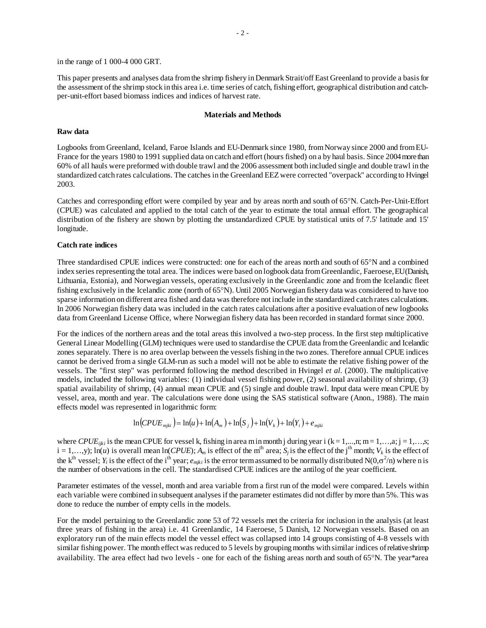in the range of 1 000-4 000 GRT.

This paper presents and analyses data from the shrimp fishery in Denmark Strait/off East Greenland to provide a basis for the assessment of the shrimp stock in this area i.e. time series of catch, fishing effort, geographical distribution and catchper-unit-effort based biomass indices and indices of harvest rate.

#### **Materials and Methods**

### **Raw data**

Logbooks from Greenland, Iceland, Faroe Islands and EU-Denmark since 1980, from Norway since 2000 and from EU-France for the years 1980 to 1991 supplied data on catch and effort (hours fished) on a by haul basis. Since 2004 more than 60% of all hauls were preformed with double trawl and the 2006 assessment both included single and double trawl in the standardized catch rates calculations. The catches in the Greenland EEZ were corrected "overpack" according to Hvingel 2003.

Catches and corresponding effort were compiled by year and by areas north and south of 65°N. Catch-Per-Unit-Effort (CPUE) was calculated and applied to the total catch of the year to estimate the total annual effort. The geographical distribution of the fishery are shown by plotting the unstandardized CPUE by statistical units of 7.5' latitude and 15' longitude.

### **Catch rate indices**

Three standardised CPUE indices were constructed: one for each of the areas north and south of 65°N and a combined index series representing the total area. The indices were based on logbook data from Greenlandic, Faeroese, EU (Danish, Lithuania, Estonia), and Norwegian vessels, operating exclusively in the Greenlandic zone and from the Icelandic fleet fishing exclusively in the Icelandic zone (north of 65°N). Until 2005 Norwegian fishery data was considered to have too sparse information on different area fished and data was therefore not include in the standardized catch rates calculations. In 2006 Norwegian fishery data was included in the catch rates calculations after a positive evaluation of new logbooks data from Greenland License Office, where Norwegian fishery data has been recorded in standard format since 2000.

For the indices of the northern areas and the total areas this involved a two-step process. In the first step multiplicative General Linear Modelling (GLM) techniques were used to standardise the CPUE data from the Greenlandic and Icelandic zones separately. There is no area overlap between the vessels fishing in the two zones. Therefore annual CPUE indices cannot be derived from a single GLM-run as such a model will not be able to estimate the relative fishing power of the vessels. The "first step" was performed following the method described in Hvingel *et al.* (2000). The multiplicative models, included the following variables: (1) individual vessel fishing power, (2) seasonal availability of shrimp, (3) spatial availability of shrimp, (4) annual mean CPUE and (5) single and double trawl. Input data were mean CPUE by vessel, area, month and year. The calculations were done using the SAS statistical software (Anon., 1988). The main effects model was represented in logarithmic form:

$$
\ln(CPUE_{mjki}) = \ln(u) + \ln(A_m) + \ln(S_j) + \ln(V_k) + \ln(Y_i) + e_{mjki}
$$

where *CPUE<sub>ijki</sub>* is the mean CPUE for vessel k, fishing in area m in month j during year i (k = 1,…,n; m = 1,…,a; j = 1,…,s;  $i = 1,...,y$ ;  $\ln(u)$  is overall mean  $\ln(CPUE)$ ;  $A_m$  is effect of the m<sup>th</sup> area;  $S_j$  is the effect of the j<sup>th</sup> month;  $V_k$  is the effect of the k<sup>th</sup> vessel;  $Y_i$  is the effect of the i<sup>th</sup> year;  $e_{mjki}$  is the error term assumed to be normally distributed N(0, $\sigma^2/n$ ) where n is the number of observations in the cell. The standardised CPUE indices are the antilog of the year coefficient.

Parameter estimates of the vessel, month and area variable from a first run of the model were compared. Levels within each variable were combined in subsequent analyses if the parameter estimates did not differ by more than 5%. This was done to reduce the number of empty cells in the models.

For the model pertaining to the Greenlandic zone 53 of 72 vessels met the criteria for inclusion in the analysis (at least three years of fishing in the area) i.e. 41 Greenlandic, 14 Faeroese, 5 Danish, 12 Norwegian vessels. Based on an exploratory run of the main effects model the vessel effect was collapsed into 14 groups consisting of 4-8 vessels with similar fishing power. The month effect was reduced to 5 levels by grouping months with similar indices of relative shrimp availability. The area effect had two levels - one for each of the fishing areas north and south of 65°N. The year\*area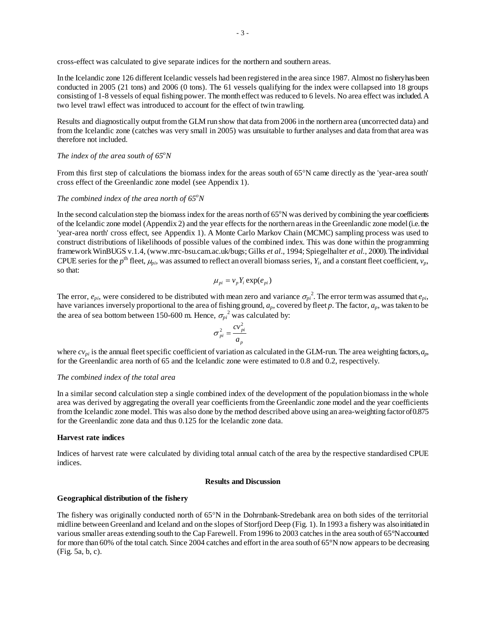cross-effect was calculated to give separate indices for the northern and southern areas.

In the Icelandic zone 126 different Icelandic vessels had been registered in the area since 1987. Almost no fishery has been conducted in 2005 (21 tons) and 2006 (0 tons). The 61 vessels qualifying for the index were collapsed into 18 groups consisting of 1-8 vessels of equal fishing power. The month effect was reduced to 6 levels. No area effect was included. A two level trawl effect was introduced to account for the effect of twin trawling.

Results and diagnostically output from the GLM run show that data from 2006 in the northern area (uncorrected data) and from the Icelandic zone (catches was very small in 2005) was unsuitable to further analyses and data from that area was therefore not included.

# *The index of the area south of 65<sup>o</sup>N*

From this first step of calculations the biomass index for the areas south of 65°N came directly as the 'year-area south' cross effect of the Greenlandic zone model (see Appendix 1).

# *The combined index of the area north of 65<sup>o</sup>N*

In the second calculation step the biomass index for the areas north of  $65^{\circ}$ N was derived by combining the year coefficients of the Icelandic zone model (Appendix 2) and the year effects for the northern areas in the Greenlandic zone model (i.e. the 'year-area north' cross effect, see Appendix 1). A Monte Carlo Markov Chain (MCMC) sampling process was used to construct distributions of likelihoods of possible values of the combined index. This was done within the programming framework WinBUGS v.1.4, (www.mrc-bsu.cam.ac.uk/bugs; Gilks *et al*., 1994; Spiegelhalter *et al.*, 2000). The individual CPUE series for the *p*<sup>th</sup> fleet,  $\mu_{pi}$ , was assumed to reflect an overall biomass series,  $Y_i$ , and a constant fleet coefficient,  $v_p$ , so that:

$$
\mu_{pi} = v_p Y_i \exp(e_{pi})
$$

The error,  $e_{pi}$ , were considered to be distributed with mean zero and variance  $\sigma_{pi}^2$ . The error term was assumed that  $e_{pi}$ , have variances inversely proportional to the area of fishing ground, *ap*, covered by fleet *p*. The factor, *ap*, was taken to be the area of sea bottom between 150-600 m. Hence,  $\sigma_{pi}^2$  was calculated by:

$$
\sigma_{pi}^2 = \frac{cv_{pi}^2}{a_p}
$$

where  $cv_{pi}$  is the annual fleet specific coefficient of variation as calculated in the GLM-run. The area weighting factors, *a*<sub>p</sub>, for the Greenlandic area north of 65 and the Icelandic zone were estimated to 0.8 and 0.2, respectively.

### *The combined index of the total area*

In a similar second calculation step a single combined index of the development of the population biomass in the whole area was derived by aggregating the overall year coefficients from the Greenlandic zone model and the year coefficients from the Icelandic zone model. This was also done by the method described above using an area-weighting factor of 0.875 for the Greenlandic zone data and thus 0.125 for the Icelandic zone data.

#### **Harvest rate indices**

Indices of harvest rate were calculated by dividing total annual catch of the area by the respective standardised CPUE indices.

#### **Results and Discussion**

#### **Geographical distribution of the fishery**

The fishery was originally conducted north of 65°N in the Dohrnbank-Stredebank area on both sides of the territorial midline between Greenland and Iceland and on the slopes of Storfjord Deep (Fig. 1). In 1993 a fishery was also initiated in various smaller areas extending south to the Cap Farewell. From 1996 to 2003 catches in the area south of 65°N accounted for more than 60% of the total catch. Since 2004 catches and effort in the area south of 65°N now appears to be decreasing (Fig. 5a, b, c).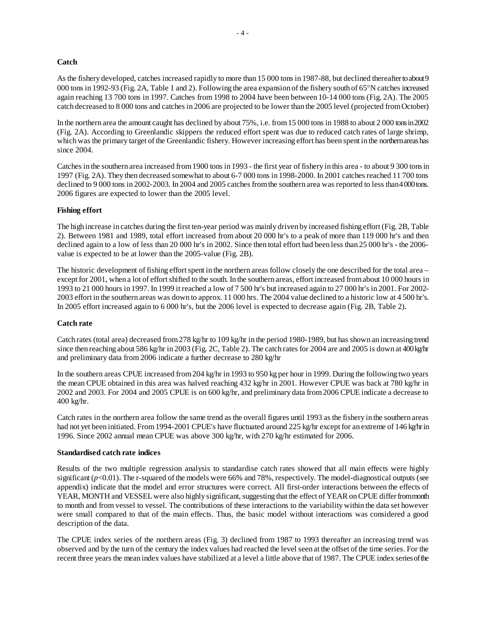# **Catch**

As the fishery developed, catches increased rapidly to more than 15 000 tons in 1987-88, but declined thereafter to about 9 000 tons in 1992-93 (Fig. 2A, Table 1 and 2). Following the area expansion of the fishery south of 65°N catches increased again reaching 13 700 tons in 1997. Catches from 1998 to 2004 have been between 10-14 000 tons (Fig. 2A). The 2005 catch decreased to 8 000 tons and catches in 2006 are projected to be lower than the 2005 level (projected from October)

In the northern area the amount caught has declined by about 75%, i.e. from 15 000 tons in 1988 to about 2 000 tons in 2002 (Fig. 2A). According to Greenlandic skippers the reduced effort spent was due to reduced catch rates of large shrimp, which was the primary target of the Greenlandic fishery. However increasing effort has been spent in the northern areas has since 2004.

Catches in the southern area increased from 1900 tons in 1993 - the first year of fishery in this area - to about 9 300 tons in 1997 (Fig. 2A). They then decreased somewhat to about 6-7 000 tons in 1998-2000. In 2001 catches reached 11 700 tons declined to 9 000 tons in 2002-2003. In 2004 and 2005 catches from the southern area was reported to less than 4000 tons. 2006 figures are expected to lower than the 2005 level.

# **Fishing effort**

The high increase in catches during the first ten-year period was mainly driven by increased fishing effort (Fig. 2B, Table 2). Between 1981 and 1989, total effort increased from about 20 000 hr's to a peak of more than 119 000 hr's and then declined again to a low of less than 20 000 hr's in 2002. Since then total effort had been less than 25 000 hr's - the 2006 value is expected to be at lower than the 2005-value (Fig. 2B).

The historic development of fishing effort spent in the northern areas follow closely the one described for the total area – except for 2001, when a lot of effort shifted to the south. In the southern areas, effort increased from about 10 000 hours in 1993 to 21 000 hours in 1997. In 1999 it reached a low of 7 500 hr's but increased again to 27 000 hr's in 2001. For 2002- 2003 effort in the southern areas was down to approx. 11 000 hrs. The 2004 value declined to a historic low at 4 500 hr's. In 2005 effort increased again to 6 000 hr's, but the 2006 level is expected to decrease again (Fig. 2B, Table 2).

# **Catch rate**

Catch rates (total area) decreased from 278 kg/hr to 109 kg/hr in the period 1980-1989, but has shown an increasing trend since then reaching about 586 kg/hr in 2003 (Fig. 2C, Table 2). The catch rates for 2004 are and 2005 is down at 400 kg/hr and preliminary data from 2006 indicate a further decrease to 280 kg/hr

In the southern areas CPUE increased from 204 kg/hr in 1993 to 950 kg per hour in 1999. During the following two years the mean CPUE obtained in this area was halved reaching 432 kg/hr in 2001. However CPUE was back at 780 kg/hr in 2002 and 2003. For 2004 and 2005 CPUE is on 600 kg/hr, and preliminary data from 2006 CPUE indicate a decrease to 400 kg/hr.

Catch rates in the northern area follow the same trend as the overall figures until 1993 as the fishery in the southern areas had not yet been initiated. From 1994-2001 CPUE's have fluctuated around 225 kg/hr except for an extreme of 146 kg/hr in 1996. Since 2002 annual mean CPUE was above 300 kg/hr, with 270 kg/hr estimated for 2006.

# **Standardised catch rate indices**

Results of the two multiple regression analysis to standardise catch rates showed that all main effects were highly significant  $(p<0.01)$ . The r-squared of the models were 66% and 78%, respectively. The model-diagnostical outputs (see appendix) indicate that the model and error structures were correct. All first-order interactions between the effects of YEAR, MONTH and VESSEL were also highly significant, suggesting that the effect of YEAR on CPUE differ from month to month and from vessel to vessel. The contributions of these interactions to the variability within the data set however were small compared to that of the main effects. Thus, the basic model without interactions was considered a good description of the data.

The CPUE index series of the northern areas (Fig. 3) declined from 1987 to 1993 thereafter an increasing trend was observed and by the turn of the century the index values had reached the level seen at the offset of the time series. For the recent three years the mean index values have stabilized at a level a little above that of 1987. The CPUE index series of the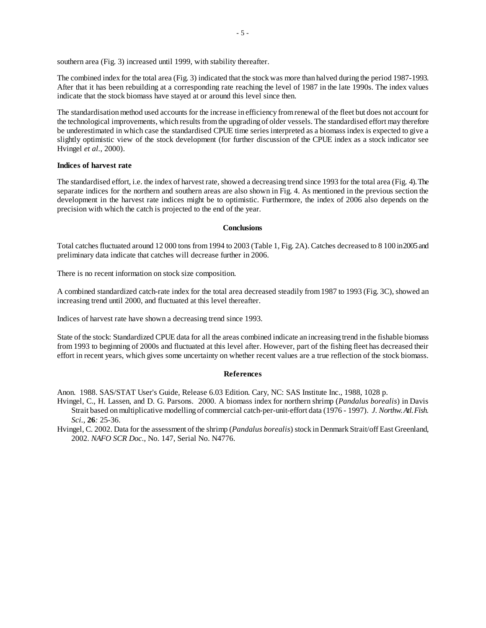southern area (Fig. 3) increased until 1999, with stability thereafter.

The combined index for the total area (Fig. 3) indicated that the stock was more than halved during the period 1987-1993. After that it has been rebuilding at a corresponding rate reaching the level of 1987 in the late 1990s. The index values indicate that the stock biomass have stayed at or around this level since then.

The standardisation method used accounts for the increase in efficiency from renewal of the fleet but does not account for the technological improvements, which results from the upgrading of older vessels. The standardised effort may therefore be underestimated in which case the standardised CPUE time series interpreted as a biomass index is expected to give a slightly optimistic view of the stock development (for further discussion of the CPUE index as a stock indicator see Hvingel *et al.*, 2000).

# **Indices of harvest rate**

The standardised effort, i.e. the index of harvest rate, showed a decreasing trend since 1993 for the total area (Fig. 4). The separate indices for the northern and southern areas are also shown in Fig. 4. As mentioned in the previous section the development in the harvest rate indices might be to optimistic. Furthermore, the index of 2006 also depends on the precision with which the catch is projected to the end of the year.

### **Conclusions**

Total catches fluctuated around 12 000 tons from 1994 to 2003 (Table 1, Fig. 2A). Catches decreased to 8 100 in 2005 and preliminary data indicate that catches will decrease further in 2006.

There is no recent information on stock size composition.

A combined standardized catch-rate index for the total area decreased steadily from 1987 to 1993 (Fig. 3C), showed an increasing trend until 2000, and fluctuated at this level thereafter.

Indices of harvest rate have shown a decreasing trend since 1993.

State of the stock: Standardized CPUE data for all the areas combined indicate an increasing trend in the fishable biomass from 1993 to beginning of 2000s and fluctuated at this level after. However, part of the fishing fleet has decreased their effort in recent years, which gives some uncertainty on whether recent values are a true reflection of the stock biomass.

### **References**

Anon. 1988. SAS/STAT User's Guide, Release 6.03 Edition. Cary, NC: SAS Institute Inc., 1988, 1028 p.

- Hvingel, C., H. Lassen, and D. G. Parsons. 2000. A biomass index for northern shrimp (*Pandalus borealis*) in Davis Strait based on multiplicative modelling of commercial catch-per-unit-effort data (1976 - 1997). *J. Northw. Atl. Fish. Sci.*, **26***:* 25-36.
- Hvingel, C. 2002. Data for the assessment of the shrimp (*Pandalus borealis*) stock in Denmark Strait/off East Greenland, 2002. *NAFO SCR Doc.*, No. 147, Serial No. N4776.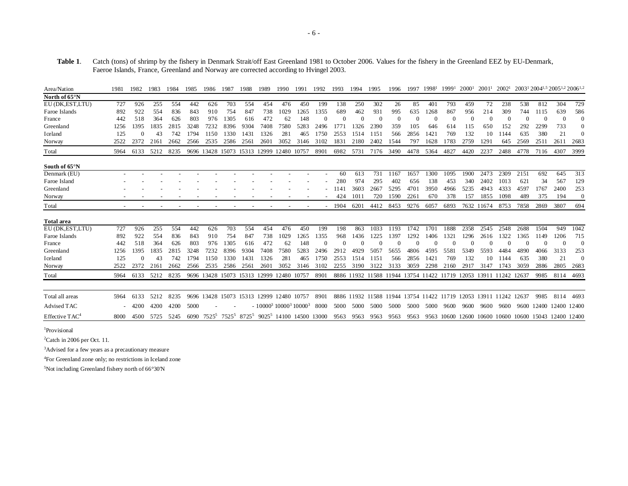**Table 1**. Catch (tons) of shrimp by the fishery in Denmark Strait/off East Greenland 1981 to October 2006. Values for the fishery in the Greenland EEZ by EU-Denmark, Faeroe Islands, France, Greenland and Norway are corrected according to Hvingel 2003.

| Area/Nation                | 1981 | 1982     | 1983 | 1984 | 1985 | 1986     | 1987                         | 1988 | 1989 | 1990                                                                    | 1991  | 1992     | 1993     | 1994      | 1995                                                             | 1996     | 1997     | 19981    | 19991    | 2000 <sup>1</sup> | 2001 <sup>1</sup> | 2002 <sup>1</sup> |                                                      | 2003 <sup>1</sup> 2004 <sup>1,5</sup> 2005 <sup>1,2</sup> 2006 <sup>1,2</sup> |                |                |
|----------------------------|------|----------|------|------|------|----------|------------------------------|------|------|-------------------------------------------------------------------------|-------|----------|----------|-----------|------------------------------------------------------------------|----------|----------|----------|----------|-------------------|-------------------|-------------------|------------------------------------------------------|-------------------------------------------------------------------------------|----------------|----------------|
| North of 65°N              |      |          |      |      |      |          |                              |      |      |                                                                         |       |          |          |           |                                                                  |          |          |          |          |                   |                   |                   |                                                      |                                                                               |                |                |
| EU (DK, EST, LTU)          | 727  | 926      | 255  | 554  | 442  | 626      | 703                          | 554  | 454  | 476                                                                     | 450   | 199      | 138      | 250       | 302                                                              | 26       | 85       | 401      | 793      | 459               | 72                | 238               | 538                                                  | 812                                                                           | 304            | 729            |
| Faroe Islands              | 892  | 922      | 554  | 836  | 843  | 910      | 754                          | 847  | 738  | 1029                                                                    | 1265  | 1355     | 689      | 462       | 931                                                              | 995      | 635      | 1268     | 867      | 956               | 214               | 309               | 744                                                  | 1115                                                                          | 639            | 586            |
| France                     | 442  | 518      | 364  | 626  | 803  | 976      | 1305                         | 616  | 472  | 62                                                                      | 148   | $\Omega$ | $\Omega$ | $\Omega$  | $\theta$                                                         | $\theta$ | $\Omega$ | $\Omega$ | $\Omega$ | $\Omega$          | $\Omega$          |                   | $\Omega$                                             |                                                                               | $\overline{0}$ | $\mathbf{0}$   |
| Greenland                  | 1256 | 1395     | 1835 | 2815 | 3248 | 7232     | 8396                         | 9304 | 7408 | 7580                                                                    | 5283  | 2496     | 1771     | 1326      | 2390                                                             | 359      | 105      | 646      | 614      | 115               | 650               | 152               | 292                                                  | 2299                                                                          | 733            | $\Omega$       |
| Iceland                    | 125  |          | 43   | 742  | 1794 | 1150     | 1330                         | 1431 | 1326 | 281                                                                     | 465   | 1750     | 2553     | 1514      | 1151                                                             | 566      | 2856     | 1421     | 769      | 132               | 10                | 1144              | 635                                                  | 380                                                                           | 21             | $\Omega$       |
| Norway                     | 2522 | 2372     | 2161 | 2662 | 2566 | 2535     | 2586                         | 256  | 2601 | 3052                                                                    | 3146  | 3102     | 183      | 2180      | 2402                                                             | 1544     | 797      | 1628     | 1783     | 2759              | 1291              | 645               | 2569                                                 | 2511                                                                          | 2611           | 2683           |
| Total                      | 5964 | 6133     | 5212 | 8235 |      |          | 9696 13428 15073 15313 12999 |      |      | 12480                                                                   | 10757 | 8901     | 6982     | 5731      | 7176                                                             | 3490     | 4478     | 5364     | 4827     | 4420              | 2237              | 2488              | 4778                                                 | 7116                                                                          | 4307           | 3999           |
| South of 65 <sup>o</sup> N |      |          |      |      |      |          |                              |      |      |                                                                         |       |          |          |           |                                                                  |          |          |          |          |                   |                   |                   |                                                      |                                                                               |                |                |
| Denmark (EU)               |      |          |      |      |      |          |                              |      |      |                                                                         |       |          | 60       | 613       | 731                                                              | 1167     | 1657     | 1300     | 1095     | 1900              | 2473              | 2309              | 2151                                                 | 692                                                                           | 645            | 313            |
| Faroe Island               |      |          |      |      |      |          |                              |      |      |                                                                         |       |          | 280      | 974       | 295                                                              | 402      | 656      | 138      | 453      | 340               | 2402              | 1013              | 621                                                  | 34                                                                            | 567            | 129            |
| Greenland                  |      |          |      |      |      |          |                              |      |      |                                                                         |       |          | 1141     | 3603      | 2667                                                             | 5295     | 4701     | 3950     | 4966     | 5235              | 4943              | 4333              | 4597                                                 | 1767                                                                          | 2400           | 253            |
| Norway                     |      |          |      |      |      |          |                              |      |      |                                                                         |       |          | 424      | 101       | 720                                                              | 1590     | 2261     | 670      | 378      | 157               | 1855              | 1098              | 489                                                  | 375                                                                           | 194            | $\overline{0}$ |
| Total                      |      |          |      |      |      |          |                              |      |      |                                                                         |       |          | 1904     | 6201      | 4412                                                             | 8453     | 9276     | 6057     | 6893     | 7632              | 11674             | 8753              | 7858                                                 | 2869                                                                          | 3807           | 694            |
| <b>Total</b> area          |      |          |      |      |      |          |                              |      |      |                                                                         |       |          |          |           |                                                                  |          |          |          |          |                   |                   |                   |                                                      |                                                                               |                |                |
| EU (DK, EST, LTU)          | 727  | 926      | 255  | 554  | 442  | 626      | 703                          | 554  | 454  | 476                                                                     | 450   | 199      | 198      | 863       | 1033                                                             | 1193     | 1742     | 1701     | 1888     | 2358              | 2545              | 2548              | 2688                                                 | 1504                                                                          | 949            | 1042           |
| Faroe Islands              | 892  | 922      | 554  | 836  | 843  | 910      | 754                          | 847  | 738  | 1029                                                                    | 1265  | 1355     | 968      | 1436      | 1225                                                             | 1397     | 1292     | 1406     | 1321     | 1296              | 2616              | 1322              | 1365                                                 | 1149                                                                          | 1206           | 715            |
| France                     | 442  | 518      | 364  | 626  | 803  | 976      | 1305                         | 616  | 472  | 62                                                                      | 148   |          | 0        |           |                                                                  |          |          |          |          |                   |                   |                   |                                                      |                                                                               | $\Omega$       | $\Omega$       |
| Greenland                  | 1256 | 1395     | 1835 | 2815 | 3248 | 7232     | 8396                         | 9304 | 7408 | 7580                                                                    | 5283  | 2496     | 2912     | 4929      | 5057                                                             | 5655     | 4806     | 4595     | 5581     | 5349              | 5593              | 4484              | 4890                                                 | 4066                                                                          | 3133           | 253            |
| Iceland                    | 125  | $\Omega$ | 43   | 742  | 1794 | 1150     | 1330                         | 1431 | 1326 | 281                                                                     | 465   | 1750     | 2553     | 1514      | 1151                                                             | 566      | 2856     | 1421     | 769      | 132               | 10                | 1144              | 635                                                  | 380                                                                           | 21             | $\Omega$       |
| Norway                     | 2522 | 2372     | 2161 | 2662 | 2566 | 2535     | 2586                         | 2561 | 2601 | 3052                                                                    | 3146  | 3102     | 2255     | 3190      | 3122                                                             | 3133     | 3059     | 2298     | 2160     | 2917              | 3147              | 1743              | 3059                                                 | 2886                                                                          | 2805           | 2683           |
| Total                      | 5964 | 6133     | 5212 | 8235 |      |          |                              |      |      | 9696 13428 15073 15313 12999 12480 10757                                |       | 8901     |          |           | 8886 11932 11588 11944 13754 11422 11719 12053 13911 11242 12637 |          |          |          |          |                   |                   |                   |                                                      | 9985                                                                          | 8114           | 4693           |
|                            |      |          |      |      |      |          |                              |      |      |                                                                         |       |          |          |           |                                                                  |          |          |          |          |                   |                   |                   |                                                      |                                                                               |                |                |
| Total all areas            | 5964 | 6133     | 5212 | 8235 |      |          |                              |      |      | 9696 13428 15073 15313 12999 12480 10757                                |       | 8901     |          |           | 8886 11932 11588 11944 13754 11422 11719 12053 13911 11242 12637 |          |          |          |          |                   |                   |                   |                                                      | 9985                                                                          | 8114           | 4693           |
| Advised TAC                |      | 4200     | 4200 | 4200 | 5000 |          |                              |      |      | $-10000^3 10000^3 10000^3$                                              |       | 8000     |          | 5000 5000 | 5000                                                             | 5000     | 5000     | 5000     | 9600     | 9600              | 9600              | 9600              | 9600                                                 | 12400 12400 12400                                                             |                |                |
| Effective $TAC4$           | 8000 | 4500     | 5725 | 5245 | 6090 | $7525^5$ |                              |      |      | 7525 <sup>5</sup> 8725 <sup>5</sup> 9025 <sup>5</sup> 14100 14500 13000 |       |          | 9563     | 9563      | 9563                                                             | 9563     | 9563     |          |          |                   |                   |                   | 9563 10600 12600 10600 10600 10600 15043 12400 12400 |                                                                               |                |                |

<sup>1</sup>Provisional

2Catch in 2006 per Oct. 11.

3Advised for a few years as a precautionary measure

4For Greenland zone only; no restrictions in Iceland zone

5Not including Greenland fishery north of 66°30'N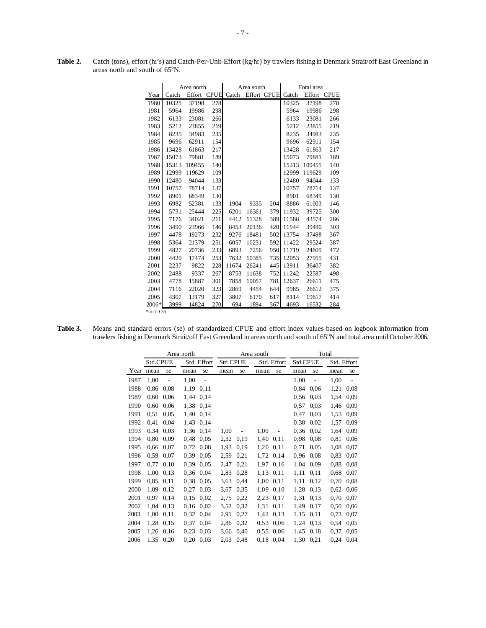|             |       | Area north |     |                   | Area south |             | Total area |             |     |  |
|-------------|-------|------------|-----|-------------------|------------|-------------|------------|-------------|-----|--|
| Year        | Catch |            |     | Effort CPUE Catch |            | Effort CPUE | Catch      | Effort CPUE |     |  |
| 1980        | 10325 | 37198      | 278 |                   |            |             | 10325      | 37198       | 278 |  |
| 1981        | 5964  | 19986      | 298 |                   |            |             | 5964       | 19986       | 298 |  |
| 1982        | 6133  | 23081      | 266 |                   |            |             | 6133       | 23081       | 266 |  |
| 1983        | 5212  | 23855      | 219 |                   |            |             | 5212       | 23855       | 219 |  |
| 1984        | 8235  | 34983      | 235 |                   |            |             | 8235       | 34983       | 235 |  |
| 1985        | 9696  | 62911      | 154 |                   |            |             | 9696       | 62911       | 154 |  |
| 1986        | 13428 | 61863      | 217 |                   |            |             | 13428      | 61863       | 217 |  |
| 1987        | 15073 | 79881      | 189 |                   |            |             | 15073      | 79881       | 189 |  |
| 1988        | 15313 | 109455     | 140 |                   |            |             | 15313      | 109455      | 140 |  |
| 1989        | 12999 | 119629     | 109 |                   |            |             | 12999      | 119629      | 109 |  |
| 1990        | 12480 | 94044      | 133 |                   |            |             | 12480      | 94044       | 133 |  |
| 1991        | 10757 | 78714      | 137 |                   |            |             | 10757      | 78714       | 137 |  |
| 1992        | 8901  | 68349      | 130 |                   |            |             | 8901       | 68349       | 130 |  |
| 1993        | 6982  | 52381      | 133 | 1904              | 9335       | 204         | 8886       | 61003       | 146 |  |
| 1994        | 5731  | 25444      | 225 | 6201              | 16361      | 379         | 11932      | 39725       | 300 |  |
| 1995        | 7176  | 34021      | 211 | 4412              | 11328      | 389         | 11588      | 43574       | 266 |  |
| 1996        | 3490  | 23966      | 146 | 8453              | 20136      | 420         | 11944      | 39480       | 303 |  |
| 1997        | 4478  | 19273      | 232 | 9276              | 18481      | 502         | 13754      | 37498       | 367 |  |
| 1998        | 5364  | 21379      | 251 | 6057              | 10231      | 592         | 11422      | 29524       | 387 |  |
| 1999        | 4827  | 20736      | 233 | 6893              | 7256       | 950         | 11719      | 24809       | 472 |  |
| 2000        | 4420  | 17474      | 253 | 7632              | 10385      | 735         | 12053      | 27955       | 431 |  |
| 2001        | 2237  | 9822       | 228 | 11674             | 26241      | 445         | 13911      | 36407       | 382 |  |
| 2002        | 2488  | 9337       | 267 | 8753              | 11638      | 752         | 11242      | 22587       | 498 |  |
| 2003        | 4778  | 15887      | 301 | 7858              | 10057      | 781         | 12637      | 26611       | 475 |  |
| 2004        | 7116  | 22020      | 323 | 2869              | 4454       | 644         | 9985       | 26612       | 375 |  |
| 2005        | 4307  | 13179      | 327 | 3807              | 6170       | 617         | 8114       | 19617       | 414 |  |
| 2006*       | 3999  | 14824      | 270 | 694               | 1894       | 367         | 4693       | 16532       | 284 |  |
| *until Oct. |       |            |     |                   |            |             |            |             |     |  |

**Table 2.** Catch (tons), effort (hr's) and Catch-Per-Unit-Effort (kg/hr) by trawlers fishing in Denmark Strait/off East Greenland in areas north and south of 65°N.

| Table 3. | Means and standard errors (se) of standardized CPUE and effort index values based on logbook information from                          |
|----------|----------------------------------------------------------------------------------------------------------------------------------------|
|          | trawlers fishing in Denmark Strait/off East Greenland in areas north and south of 65 <sup>o</sup> N and total area until October 2006. |

|      |                         |                | Area north  |                |      |      | Area south  |          | Total |                |             |                |  |
|------|-------------------------|----------------|-------------|----------------|------|------|-------------|----------|-------|----------------|-------------|----------------|--|
|      | Std.CPUE<br>Std. Effort |                |             | Std.CPUE       |      |      | Std. Effort | Std.CPUE |       |                | Std. Effort |                |  |
| Year | mean                    | se             | mean        | se             | mean | se   | mean        | se       | mean  | se             | mean        | se             |  |
| 1987 | 1,00                    | $\overline{a}$ | 1,00        | $\overline{a}$ |      |      |             |          | 1,00  | $\overline{a}$ | 1,00        | $\overline{a}$ |  |
| 1988 | 0.86                    | 0,08           | 1,19        | 0,11           |      |      |             |          | 0,84  | 0,06           | 1,21        | 0.08           |  |
| 1989 | 0.60                    | 0,06           | 1,44        | 0.14           |      |      |             |          | 0.56  | 0,03           | 1,54        | 0,09           |  |
| 1990 | 0,60                    | 0,06           | 1,38        | 0.14           |      |      |             |          | 0,57  | 0.03           | 1,46        | 0,09           |  |
| 1991 | 0.51                    | 0.05           | 1,40        | 0.14           |      |      |             |          | 0,47  | 0.03           | 1,53        | 0.09           |  |
| 1992 | 0,41                    | 0,04           | 1,43        | 0.14           |      |      |             |          | 0.38  | 0,02           | 1,57        | 0.09           |  |
| 1993 | 0.34                    | 0,03           | 1,36        | 0,14           | 1,00 |      | 1,00        |          | 0.36  | 0,02           | 1,64        | 0.09           |  |
| 1994 | 0.80                    | 0,09           | 0,48        | 0.05           | 2,32 | 0.19 | 1,40        | 0,11     | 0.98  | 0.08           | 0,81        | 0.06           |  |
| 1995 | 0.66                    | 0,07           | 0,72        | 0.08           | 1,93 | 0,19 | 1,20        | 0,11     | 0,71  | 0,05           | 1,08        | 0.07           |  |
| 1996 | 0.59                    | 0,07           | 0.39        | 0.05           | 2,59 | 0,21 | 1,72        | 0,14     | 0.96  | 0.08           | 0,83        | 0.07           |  |
| 1997 | 0.77                    | 0,10           | 0,39        | 0.05           | 2,47 | 0,21 | 1,97        | 0,16     | 1,04  | 0,09           | 0.88        | 0.08           |  |
| 1998 | 1,00                    | 0,13           | 0,36        | 0.04           | 2,83 | 0,28 | 1,13        | 0,11     | 1,11  | 0,11           | 0,68        | 0.07           |  |
| 1999 | 0.85                    | 0,11           | 0.38        | 0,05           | 3.63 | 0,44 | 1,00        | 0,11     | 1,11  | 0,12           | 0,70        | 0.08           |  |
| 2000 | 1,09                    | 0,12           | 0,27        | 0.03           | 3,67 | 0.35 | 1,09        | 0,10     | 1,28  | 0,13           | 0.62        | 0.06           |  |
| 2001 | 0.97                    | 0,14           | 0,15        | 0.02           | 2,75 | 0,22 | 2,23        | 0.17     | 1,31  | 0,13           | 0,70        | 0.07           |  |
| 2002 | 1,04                    | 0,13           | $0,16$ 0.02 |                | 3,52 | 0,32 | 1,31        | 0,11     | 1,49  | 0,17           | 0,50        | 0.06           |  |
| 2003 | 1,00                    | 0,11           | 0,32        | 0,04           | 2,91 | 0,27 | 1,42        | 0,13     | 1,15  | 0,11           | 0,73        | 0,07           |  |
| 2004 | 1,28                    | 0,15           | 0,37        | 0.04           | 2,86 | 0,32 | 0.53        | 0.06     | 1,24  | 0,13           | 0.54        | 0.05           |  |
| 2005 | 1,26                    | 0,16           | 0.23        | 0.03           | 3,66 | 0,40 | 0.55        | 0,06     | 1,45  | 0,18           | 0,37        | 0.05           |  |
| 2006 | 1,35                    | 0,20           | 0,20        | 0,03           | 2,03 | 0,48 | 0.18        | 0,04     | 1,30  | 0,21           | 0,24        | 0,04           |  |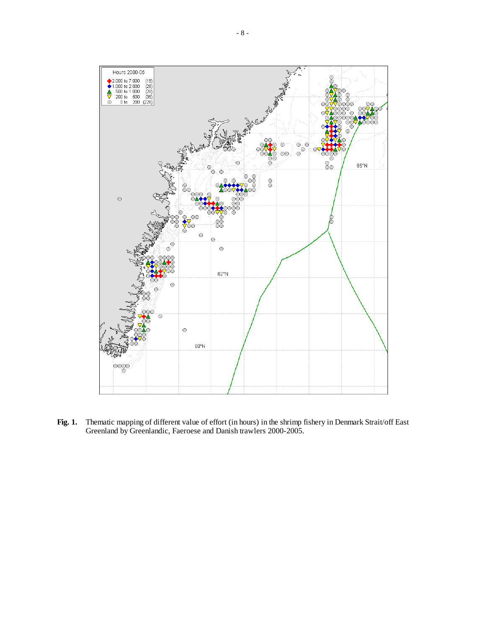

**Fig. 1.** Thematic mapping of different value of effort (in hours) in the shrimp fishery in Denmark Strait/off East Greenland by Greenlandic, Faeroese and Danish trawlers 2000-2005.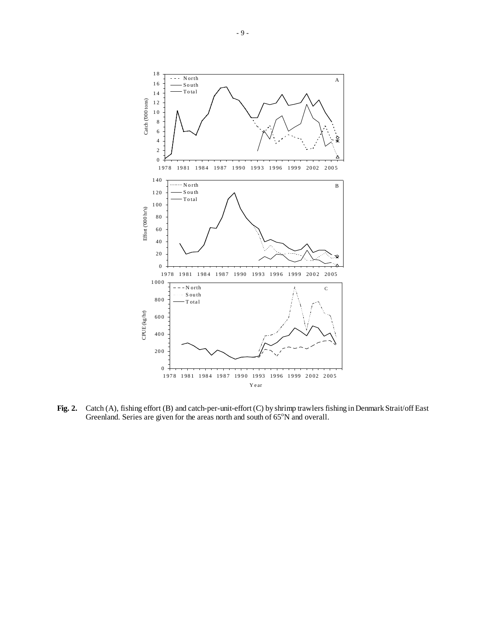

**Fig. 2.** Catch (A), fishing effort (B) and catch-per-unit-effort (C) by shrimp trawlers fishing in Denmark Strait/off East Greenland. Series are given for the areas north and south of  $65^{\circ}$ N and overall.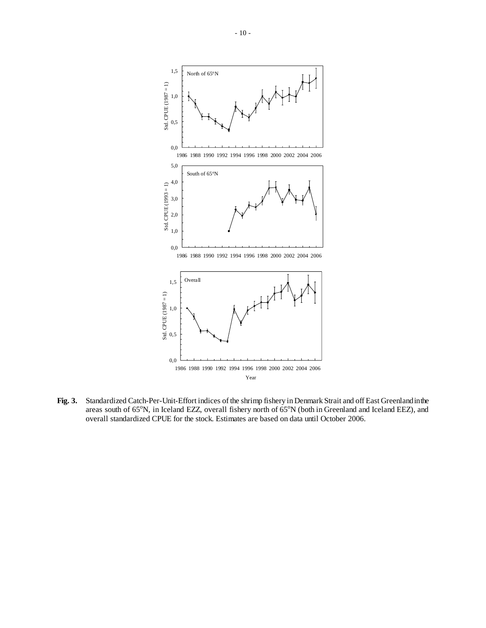

**Fig. 3.** Standardized Catch-Per-Unit-Effort indices of the shrimp fishery in Denmark Strait and off East Greenland in the areas south of  $65^{\circ}$ N, in Iceland EZZ, overall fishery north of  $65^{\circ}$ N (both in Greenland and Iceland EEZ), and overall standardized CPUE for the stock. Estimates are based on data until October 2006.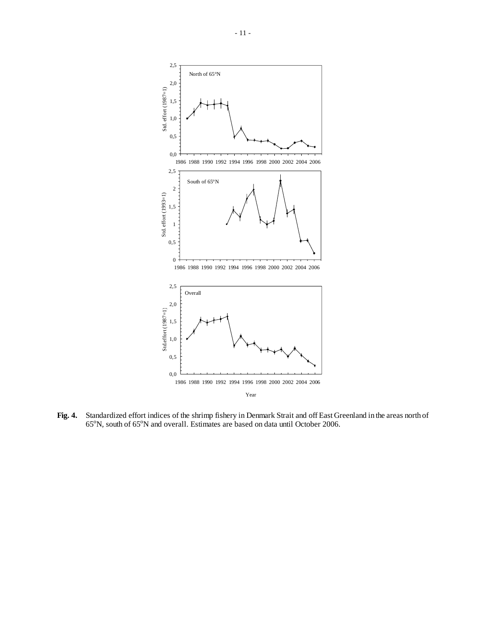

**Fig. 4.** Standardized effort indices of the shrimp fishery in Denmark Strait and off East Greenland in the areas north of 65°N, south of 65°N and overall. Estimates are based on data until October 2006.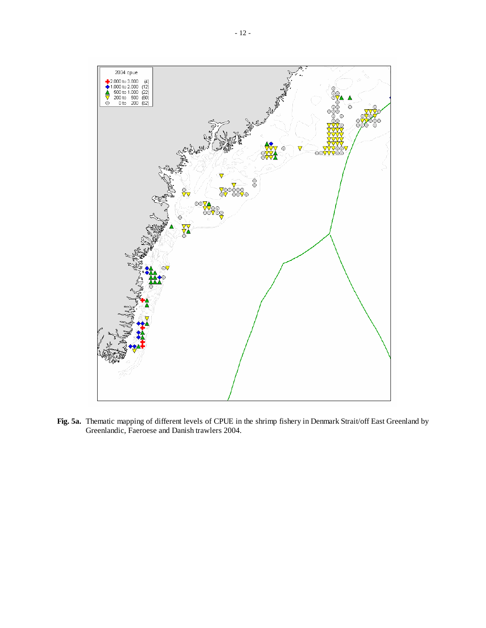

**Fig. 5a.** Thematic mapping of different levels of CPUE in the shrimp fishery in Denmark Strait/off East Greenland by Greenlandic, Faeroese and Danish trawlers 2004.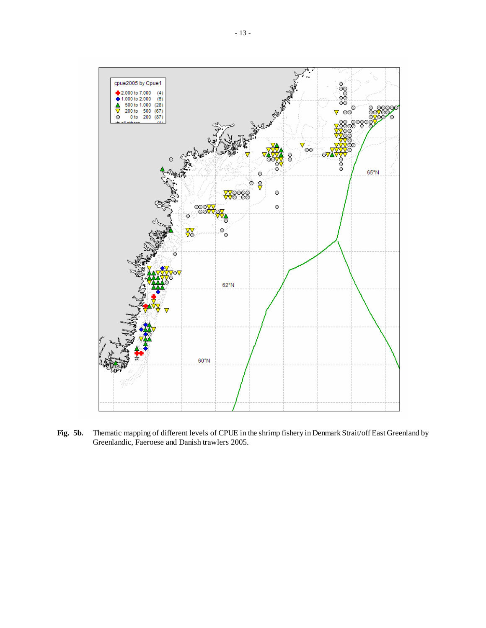

**Fig. 5b.** Thematic mapping of different levels of CPUE in the shrimp fishery in Denmark Strait/off East Greenland by Greenlandic, Faeroese and Danish trawlers 2005.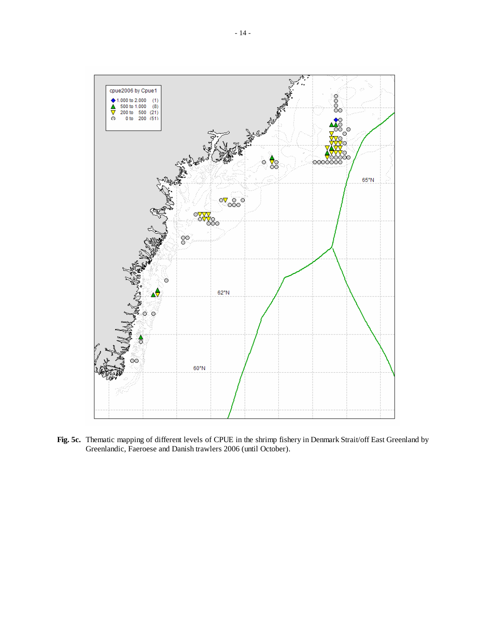

**Fig. 5c.** Thematic mapping of different levels of CPUE in the shrimp fishery in Denmark Strait/off East Greenland by Greenlandic, Faeroese and Danish trawlers 2006 (until October).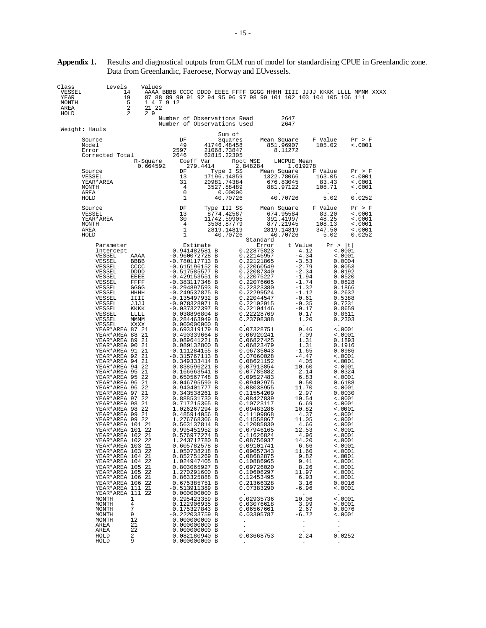| Class<br>Levels<br>VESSEL<br>14<br>19<br>YEAR<br>5<br>MONTH<br>$\overline{2}$<br>AREA<br>2<br>HOLD                                                                                                                                                                                                                                                                                                                                                                                                                                                                                                                                                                                                                                                                                                                                                                                          | Values<br>1 4 7 9 12<br>21 22<br>29                                                                                                                                                                        |                                                                                                                                                                                                                                                                                                                                                                                                                                                                                                                                                                                                                                                                                                                                                                                                                                                                                                                                                                                                                                       | Number of Observations Read                                                      | AAAA BBBB CCCC DDDD EEEE FFFF GGGG HHHH IIII JJJJ KKKK LLLL MMMM XXXX<br>87 88 89 90 91 92 94 95 96 97 98 99 101 102 103 104 105 106 111                                                                                                                                                                                                                                                                                                                                                                                                                                                                                                                                                                                                                   | 2647                                                                                                                                                                                                                                                                                                                                                                                                                                                                                        |                                                                                                                                                                                                                                                                                                                                                                                                                                                                                                                                                                                                                  |                                                                          |
|---------------------------------------------------------------------------------------------------------------------------------------------------------------------------------------------------------------------------------------------------------------------------------------------------------------------------------------------------------------------------------------------------------------------------------------------------------------------------------------------------------------------------------------------------------------------------------------------------------------------------------------------------------------------------------------------------------------------------------------------------------------------------------------------------------------------------------------------------------------------------------------------|------------------------------------------------------------------------------------------------------------------------------------------------------------------------------------------------------------|---------------------------------------------------------------------------------------------------------------------------------------------------------------------------------------------------------------------------------------------------------------------------------------------------------------------------------------------------------------------------------------------------------------------------------------------------------------------------------------------------------------------------------------------------------------------------------------------------------------------------------------------------------------------------------------------------------------------------------------------------------------------------------------------------------------------------------------------------------------------------------------------------------------------------------------------------------------------------------------------------------------------------------------|----------------------------------------------------------------------------------|------------------------------------------------------------------------------------------------------------------------------------------------------------------------------------------------------------------------------------------------------------------------------------------------------------------------------------------------------------------------------------------------------------------------------------------------------------------------------------------------------------------------------------------------------------------------------------------------------------------------------------------------------------------------------------------------------------------------------------------------------------|---------------------------------------------------------------------------------------------------------------------------------------------------------------------------------------------------------------------------------------------------------------------------------------------------------------------------------------------------------------------------------------------------------------------------------------------------------------------------------------------|------------------------------------------------------------------------------------------------------------------------------------------------------------------------------------------------------------------------------------------------------------------------------------------------------------------------------------------------------------------------------------------------------------------------------------------------------------------------------------------------------------------------------------------------------------------------------------------------------------------|--------------------------------------------------------------------------|
| Weight: Hauls                                                                                                                                                                                                                                                                                                                                                                                                                                                                                                                                                                                                                                                                                                                                                                                                                                                                               |                                                                                                                                                                                                            |                                                                                                                                                                                                                                                                                                                                                                                                                                                                                                                                                                                                                                                                                                                                                                                                                                                                                                                                                                                                                                       | Number of Observations Used                                                      |                                                                                                                                                                                                                                                                                                                                                                                                                                                                                                                                                                                                                                                                                                                                                            | 2647                                                                                                                                                                                                                                                                                                                                                                                                                                                                                        |                                                                                                                                                                                                                                                                                                                                                                                                                                                                                                                                                                                                                  |                                                                          |
| Source<br>Model<br>Error<br>Corrected Total                                                                                                                                                                                                                                                                                                                                                                                                                                                                                                                                                                                                                                                                                                                                                                                                                                                 | R-Square<br>0.664592                                                                                                                                                                                       | DF<br>49<br>2597<br>2646<br>Coeff Var<br>279.4414                                                                                                                                                                                                                                                                                                                                                                                                                                                                                                                                                                                                                                                                                                                                                                                                                                                                                                                                                                                     | Sum of<br>Squares<br>41746.48458<br>21068.73847<br>62815.22305                   | Mean Square<br>Root MSE<br>2.848284                                                                                                                                                                                                                                                                                                                                                                                                                                                                                                                                                                                                                                                                                                                        | 851.96907<br>8.11272<br>LNCPUE Mean<br>1.019278                                                                                                                                                                                                                                                                                                                                                                                                                                             | F Value<br>105.02                                                                                                                                                                                                                                                                                                                                                                                                                                                                                                                                                                                                | Pr > F<br>< .0001                                                        |
| Source<br>VESSEL<br>YEAR * AREA<br>MONTH<br>AREA<br>HOLD                                                                                                                                                                                                                                                                                                                                                                                                                                                                                                                                                                                                                                                                                                                                                                                                                                    |                                                                                                                                                                                                            | DF<br>13<br>31<br>4<br>0<br>1                                                                                                                                                                                                                                                                                                                                                                                                                                                                                                                                                                                                                                                                                                                                                                                                                                                                                                                                                                                                         | Type I SS<br>17196.14859<br>20981.74384<br>3527.88489<br>0.00000<br>40.70726     | Mean Square                                                                                                                                                                                                                                                                                                                                                                                                                                                                                                                                                                                                                                                                                                                                                | 1322.78066<br>676.83045<br>881.97122<br>40.70726                                                                                                                                                                                                                                                                                                                                                                                                                                            | F Value<br>163.05<br>83.43<br>108.71<br>5.02                                                                                                                                                                                                                                                                                                                                                                                                                                                                                                                                                                     | Pr > F<br>$\sim 0001$<br>< .0001<br>$\sim 0001$<br>0.0252                |
| Source<br>VESSEL<br>YEAR*AREA<br>MONTH<br>AREA<br>HOLD                                                                                                                                                                                                                                                                                                                                                                                                                                                                                                                                                                                                                                                                                                                                                                                                                                      |                                                                                                                                                                                                            | DF<br>13<br>30<br>4<br>1<br>1                                                                                                                                                                                                                                                                                                                                                                                                                                                                                                                                                                                                                                                                                                                                                                                                                                                                                                                                                                                                         | Type III SS<br>8774.42587<br>11742.59905<br>3508.87779<br>2819.14819<br>40.70726 | Mean Square                                                                                                                                                                                                                                                                                                                                                                                                                                                                                                                                                                                                                                                                                                                                                | 674.95584<br>391.41997<br>877.21945<br>2819.14819<br>40.70726                                                                                                                                                                                                                                                                                                                                                                                                                               | F Value<br>83.20<br>48.25<br>108.13<br>347.50<br>5.02                                                                                                                                                                                                                                                                                                                                                                                                                                                                                                                                                            | Pr > F<br>< .0001<br>$\sim$ .0001<br>$\le 0001$<br>$\sim 0001$<br>0.0252 |
| Parameter<br>Intercept<br>VESSEL<br>VESSEL<br>VESSEL<br>VESSEL<br>VESSEL<br>VESSEL<br>VESSEL<br>VESSEL<br>VESSEL<br>VESSEL<br>VESSEL<br>VESSEL<br>VESSEL<br>VESSEL<br>YEAR*AREA 87 21<br>YEAR*AREA 88 21<br>YEAR*AREA 89 21<br>YEAR*AREA 90 21<br>YEAR*AREA 91<br>YEAR*AREA 92<br>YEAR*AREA 94 21<br>YEAR*AREA 94 22<br>YEAR*AREA 95 21<br>YEAR*AREA 95 22<br>YEAR*AREA 96 21<br>YEAR*AREA 96 22<br>YEAR*AREA 97 21<br>YEAR*AREA 97<br>YEAR*AREA 98 21<br>YEAR*AREA 98 22<br>YEAR*AREA 99 21<br>YEAR*AREA 99 22<br>YEAR*AREA 101 21<br>YEAR*AREA 101 22<br>YEAR*AREA 102 21<br>YEAR*AREA 102 22<br>YEAR*AREA 103 21<br>YEAR*AREA 103 22<br>YEAR*AREA 104 21<br>YEAR*AREA 104 22<br>YEAR*AREA 105 21<br>YEAR*AREA 105 22<br>YEAR*AREA 106 21<br>YEAR*AREA 106 22<br>YEAR*AREA 111 21<br>YEAR*AREA 111 22<br><b>MONTH</b><br>MONTH<br>MONTH<br>MONTH<br>MONTH<br>AREA<br>AREA<br>HOLD<br>HOLD | AAAA<br><b>BBBB</b><br>cccc<br>DDDD<br>EEEE<br>FFFF<br>GGGG<br>HHHH<br>IIII<br><b>JJJJ</b><br>KKKK<br>LLLL<br>MMMM<br>XXXX<br>21<br>-21<br>22<br>1<br>4<br>7<br>9<br>12<br>21<br>22<br>$\overline{2}$<br>9 | Estimate<br>0.941482581 B<br>$-0.960072728 B$<br>$-0.780117713 B$<br>$-0.615196152 B$<br>$-0.517585577 B$<br>$-0.429153551 B$<br>$-0.383117348$ B<br>$-0.294897593 B$<br>$-0.249537875 B$<br>$-0.135497932 B$<br>-0.078328071 B<br>$-0.037327397 B$<br>0.038896804 B<br>0.284463949 B<br>0.000000000B<br>0.693319179 B<br>0.490339664 B<br>0.089641221 B<br>0.089132800 B<br>$-0.111284155 B$<br>$-0.315767113 B$<br>0.349333414 B<br>0.838596221 B<br>0.166663541 B<br>0.650567748 B<br>0.046795590 B<br>0.940401777 B<br>0.343538261 B<br>0.888531730 B<br>0.717215365 B<br>1.026267294 B<br>0.485914056 B<br>1.276768306 B<br>0.563137814 B<br>0.995451952 B<br>0.576977274 B<br>1.243712780 B<br>0.605782578 B<br>1.050738218 B<br>0.852751269 B<br>1.024947405 B<br>0.803065927 B<br>1.270291600 B<br>0.863325888 B<br>0.675385751 B<br>-0.513911389 B<br>0.000000000 B<br>0.295423359 B<br>0.122906935 B<br>0.175327843 B<br>$-0.222033759 B$<br>0.000000000 B<br>0.000000000B<br>0.000000000B<br>0.082180940 B<br>0.000000000B |                                                                                  | Standard<br>Error<br>0.22875823<br>0.22146957<br>0.22121865<br>0.22060549<br>0.22087340<br>0.22075227<br>0.22076605<br>0.22323380<br>0.22299524<br>0.22044547<br>0.22102915<br>0.22104146<br>0.22228769<br>0.23708388<br>0.07328751<br>0.06920241<br>0.06827425<br>0.06823479<br>0.06735043<br>0.07060028<br>0.08621152<br>0.07913854<br>0.07785882<br>0.09527483<br>0.09402975<br>0.08038955<br>0.11554209<br>0.08427839<br>0.10723117<br>0.09483286<br>0.11109868<br>0.11558867<br>0.12085830<br>0.07946165<br>0.11626824<br>0.08756937<br>0.09101741<br>0.09057343<br>0.08682875<br>0.10886965<br>0.09726020<br>0.10608297<br>0.12453495<br>0.21366328<br>0.07383290<br>0.02935736<br>0.03076618<br>0.06567661<br>0.03305787<br>0.03668753<br>$\bullet$ | t Value<br>4.12<br>$-4.34$<br>$-3.53$<br>$-2.79$<br>$-2.34$<br>$-1.94$<br>$-1.74$<br>$-1.32$<br>$-1.12$<br>$-0.61$<br>$-0.35$<br>$-0.17$<br>0.17<br>1.20<br>9.46<br>7.09<br>1.31<br>1.31<br>$-1.65$<br>$-4.47$<br>4.05<br>10.60<br>2.14<br>6.83<br>0.50<br>11.70<br>2.97<br>10.54<br>6.69<br>10.82<br>4.37<br>11.05<br>4.66<br>12.53<br>4.96<br>14.20<br>6.66<br>11.60<br>9.82<br>9.41<br>8.26<br>11.97<br>6.93<br>3.16<br>$-6.96$<br>10.06<br>3.99<br>2.67<br>$-6.72$<br>2.24<br>$\bullet$ | Pr >  t <br>$\sim 0001$<br>< .0001<br>0.0004<br>0.0053<br>0.0192<br>0.0520<br>0.0828<br>0.1866<br>0.2632<br>0.5388<br>0.7231<br>0.8659<br>0.8611<br>0.2303<br>< .0001<br>< .0001<br>0.1893<br>0.1916<br>0.0986<br>< .0001<br>$\sim 0001$<br>< .0001<br>0.0324<br>$\sim 0001$<br>0.6188<br>$\sim 0001$<br>0.0030<br>< .0001<br>< .0001<br>< .0001<br>< .0001<br>$\sim 0001$<br>< .0001<br>$\sim 0001$<br><.0001<br>< .0001<br>$\sim 0001$<br>< .0001<br>< .0001<br>< .0001<br>< .0001<br>< .0001<br>< .0001<br>0.0016<br>$\sim 0001$<br>< .0001<br>< .0001<br>0.0076<br>< .0001<br>$\cdot$<br>0.0252<br>$\bullet$ |                                                                          |

**Appendix 1.** Results and diagnostical outputs from GLM run of model for standardising CPUE in Greenlandic zone. Data from Greenlandic, Faeroese, Norway and EUvessels.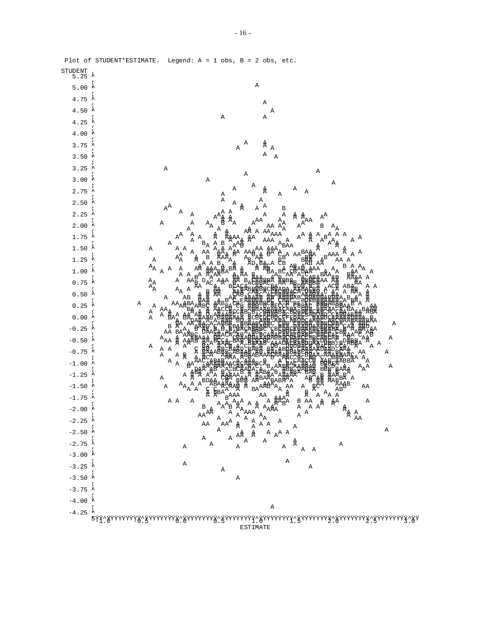| STUDENT<br>5.25       |                                                                                                                                                                        |
|-----------------------|------------------------------------------------------------------------------------------------------------------------------------------------------------------------|
| 5.00                  | $\, {\bf A}$                                                                                                                                                           |
| $4.75$ $*$            | $\, {\bf A}$                                                                                                                                                           |
| $4.50 \div$           | Α                                                                                                                                                                      |
| 4.25                  | Α<br>Α                                                                                                                                                                 |
| 4.00                  |                                                                                                                                                                        |
| $3.75*$               | Α<br>Å<br>Α<br>Α                                                                                                                                                       |
| 3.50                  | Α<br>Α                                                                                                                                                                 |
| $3.25$ $*$            | Α                                                                                                                                                                      |
| 3.00                  | Α<br>$\, {\tt A}$<br>Α                                                                                                                                                 |
| 2.75                  | Α<br>Α<br>Α<br>Α<br>Â<br>Α                                                                                                                                             |
| $2.50*$               | Α<br>Α<br>Α<br>А<br>Α                                                                                                                                                  |
| $2.25$ $*$            | $A^A$<br>A<br>Α<br>В<br>Α<br>А<br>Α<br>Α                                                                                                                               |
| 2.00                  | $\texttt{A}^\text{A}$<br>贠<br>$\texttt{A}^\texttt{AA}$<br>Α<br>Α<br>$\mathbf{A}_{\textrm{A}}$<br>В<br>ΑA                                                               |
| 1.75                  | Α<br>$\mathbb{A}^{\!\!\mathbb{A}}_{\!\!\mathbb{A}^{\!\!\mathbb{A}}}$<br>A AA<br>$B^A$ <sub>-</sub> A <sub>A</sub><br>Α<br>AAA<br>Α<br>$A^A$<br>$\texttt{A}^\texttt{A}$ |
| $1.50 \t*$            | A<br>Α<br>AAA<br>Α<br>Α<br>Α<br>Α<br>А<br>BAA<br>Α                                                                                                                     |
| 1.25                  | ΑA<br>Α<br>A<br>Α<br>$B^{AAA}$<br>aa<br>A<br>贠<br>Α                                                                                                                    |
| 1.00                  | ፞ቘ<br>Ad<br>В<br>${\tt A}_{\tt A}$<br>Α<br>${\tt A}_{\tt A}$<br>$\overline{\mathsf{A}}$<br>Α<br>$\mathtt{A}$<br>Α                                                      |
| 0.75                  | Α<br>Α<br>A<br>Αl                                                                                                                                                      |
| $0.50\,$              | a<br>aa<br>A A<br>${\tt A}_{\tt A}$                                                                                                                                    |
|                       | А<br>Α<br>ΑZ                                                                                                                                                           |
| $0.25$ <sup>2</sup>   | Α<br>A<br>A<br>Α                                                                                                                                                       |
| 0.00                  | Α<br>В                                                                                                                                                                 |
| $-0.25$ <sup>4</sup>  | AA<br>Α                                                                                                                                                                |
| $-0.50$               | $A_{\rm AA}$<br>Α<br>Α<br>Α<br>A A                                                                                                                                     |
| $-0.75$               | Α<br>AΑ<br>Α<br>Α<br>$\mathbb{R}$<br>$\mathbf{A}_{\textrm{A}}$<br>Α                                                                                                    |
| $-1.00$ $*$           | $\overline{A}$<br>$\mathbf{A}_{\mathbf{A}}\mathbf{A}$<br>Α                                                                                                             |
| $-1.25$               | Α<br>Α<br>$\, {\tt A}$                                                                                                                                                 |
| $-1.50$               | $\mathbf{A}_{\mathbf{A}_{\mathbf{A}}\mathbf{A}}$<br>Α<br>ΑA<br>Α<br>ΑA<br>å                                                                                            |
| $-1.75$               | $\begin{array}{c}\nA \\ B \\ B \\ A\n\end{array}$ A<br>B A<br>A<br>. A<br>A <sup>A</sup><br>Ά<br>A A<br>Α<br>Α                                                         |
| $-2.00$               | В<br>$\mathbb{A}_{\mathbb{A}}$<br>A<br>AAA<br>A<br>$\overline{A}$<br>A<br>AA<br>ΆÅ                                                                                     |
| $-2.25$               | AA<br>Α                                                                                                                                                                |
| $-2.50$ $\star$       | $\begin{matrix} \begin{matrix} A & A & A & A \\ A & A & A & A \\ A & A & A & A \\ A & A & A & A \\ A & A & A & A \end{matrix} & A \end{matrix}$<br>Α<br>$\mathtt{A}$   |
| $-2.75$ $\frac{7}{1}$ | Å<br>$\mathtt{A}$<br>Α<br>Α<br>Α<br>Α<br>$\tt A$<br>A                                                                                                                  |
| $-3.00$ $*$           | Α                                                                                                                                                                      |
| $-3.25$ <sup>1</sup>  | Α<br>Α<br>Α                                                                                                                                                            |
| $-3.50$ $\star$       | Α                                                                                                                                                                      |
| $-3.75$ $*$           |                                                                                                                                                                        |
| $-4.00$ $*$           | Α                                                                                                                                                                      |
|                       |                                                                                                                                                                        |

Plot of STUDENT\*ESTIMATE. Legend: A = 1 obs, B = 2 obs, etc.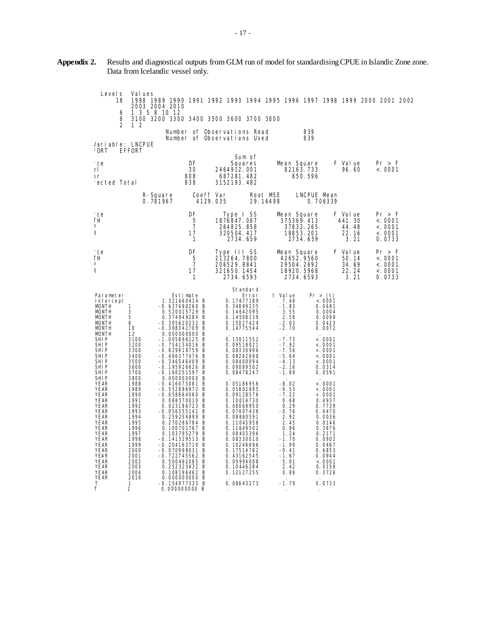| Level s<br>18<br>6                                                                                                                                                                                                                                                                                                                                                                                                                                                                       | Values<br>1 3 5 8 10 12                                                                                                                                                                                                                                | 1988 1989 1990 1991 1992 1993 1994 1995 1996 1997 1998 1999 2000 2001 2002<br>2003 2004 2010                                                                                                                                                                                                                                                                                                                                                                                                                                                                                                                                                                                       |                                                                                                                                                                                                                                                                                                                                                                                                                                                                     |                                                                                                                                                                                                                                                                                                                  |                                                                                                                                                                                                                                                                                                                                    |                                             |                                                   |
|------------------------------------------------------------------------------------------------------------------------------------------------------------------------------------------------------------------------------------------------------------------------------------------------------------------------------------------------------------------------------------------------------------------------------------------------------------------------------------------|--------------------------------------------------------------------------------------------------------------------------------------------------------------------------------------------------------------------------------------------------------|------------------------------------------------------------------------------------------------------------------------------------------------------------------------------------------------------------------------------------------------------------------------------------------------------------------------------------------------------------------------------------------------------------------------------------------------------------------------------------------------------------------------------------------------------------------------------------------------------------------------------------------------------------------------------------|---------------------------------------------------------------------------------------------------------------------------------------------------------------------------------------------------------------------------------------------------------------------------------------------------------------------------------------------------------------------------------------------------------------------------------------------------------------------|------------------------------------------------------------------------------------------------------------------------------------------------------------------------------------------------------------------------------------------------------------------------------------------------------------------|------------------------------------------------------------------------------------------------------------------------------------------------------------------------------------------------------------------------------------------------------------------------------------------------------------------------------------|---------------------------------------------|---------------------------------------------------|
| 8<br>$\overline{2}$                                                                                                                                                                                                                                                                                                                                                                                                                                                                      | 12                                                                                                                                                                                                                                                     | 3100 3200 3300 3400 3500 3600 3700 3800                                                                                                                                                                                                                                                                                                                                                                                                                                                                                                                                                                                                                                            | Number of Observations Read                                                                                                                                                                                                                                                                                                                                                                                                                                         |                                                                                                                                                                                                                                                                                                                  | 839                                                                                                                                                                                                                                                                                                                                |                                             |                                                   |
| Variable: LNCPUE<br>FORT                                                                                                                                                                                                                                                                                                                                                                                                                                                                 | <b>EFFORT</b>                                                                                                                                                                                                                                          |                                                                                                                                                                                                                                                                                                                                                                                                                                                                                                                                                                                                                                                                                    | Number of Observations Used                                                                                                                                                                                                                                                                                                                                                                                                                                         |                                                                                                                                                                                                                                                                                                                  | 839                                                                                                                                                                                                                                                                                                                                |                                             |                                                   |
| rce<br>эI<br>эr<br>rected Total                                                                                                                                                                                                                                                                                                                                                                                                                                                          |                                                                                                                                                                                                                                                        | DF<br>30<br>808<br>838                                                                                                                                                                                                                                                                                                                                                                                                                                                                                                                                                                                                                                                             | Sum of<br>Squares<br>2464912.001<br>687281.482<br>3152193.482                                                                                                                                                                                                                                                                                                                                                                                                       | Mean Square                                                                                                                                                                                                                                                                                                      | 82163.733<br>850.596                                                                                                                                                                                                                                                                                                               | F Value<br>96.60                            | Pr > F<br>< .0001                                 |
|                                                                                                                                                                                                                                                                                                                                                                                                                                                                                          |                                                                                                                                                                                                                                                        | R-Square<br>0.781967                                                                                                                                                                                                                                                                                                                                                                                                                                                                                                                                                                                                                                                               | Coeff Var<br>4129.035                                                                                                                                                                                                                                                                                                                                                                                                                                               | Root MSE<br>29.16498                                                                                                                                                                                                                                                                                             | LNCPUE Mean<br>0.706339                                                                                                                                                                                                                                                                                                            |                                             |                                                   |
| rce<br>TН<br>D<br>R                                                                                                                                                                                                                                                                                                                                                                                                                                                                      |                                                                                                                                                                                                                                                        | DF<br>5<br>$\overline{7}$<br>17<br>1                                                                                                                                                                                                                                                                                                                                                                                                                                                                                                                                                                                                                                               | Type I SS<br>1876847.067<br>264825.858<br>320504.417<br>2734.659                                                                                                                                                                                                                                                                                                                                                                                                    | Mean Square<br>375369.413                                                                                                                                                                                                                                                                                        | 37832.265<br>18853.201<br>2734.659                                                                                                                                                                                                                                                                                                 | F Value<br>441.30<br>44.48<br>22.16<br>3.21 | Pr > F<br>< 0001<br>< .0001<br>< .0001<br>0.0733  |
| rce<br>ΤН<br>D<br>K                                                                                                                                                                                                                                                                                                                                                                                                                                                                      |                                                                                                                                                                                                                                                        | DF<br>5<br>$\overline{7}$<br>17<br>1                                                                                                                                                                                                                                                                                                                                                                                                                                                                                                                                                                                                                                               | Type III SS<br>213264.7800<br>206529.8841<br>321650.1454<br>2734.6593                                                                                                                                                                                                                                                                                                                                                                                               | Mean Square<br>42652.9560<br>18920.5968                                                                                                                                                                                                                                                                          | 29504.2692<br>2734.6593                                                                                                                                                                                                                                                                                                            | F Value<br>50.14<br>34.69<br>22.24<br>3.21  | Pr > F<br>< .0001<br>< .0001<br>< .0001<br>0.0733 |
| Parameter<br>Intercept<br>MONTH<br><b>MONTH</b><br><b>MONTH</b><br>MONTH<br><b>MONTH</b><br><b>MONTH</b><br><b>SHIP</b><br>SHIP<br>SHI P<br><b>SHIP</b><br><b>SHIP</b><br><b>SHIP</b><br>SHI P<br>SHI P<br>YEAR<br><b>YEAR</b><br><b>YEAR</b><br><b>YEAR</b><br><b>YEAR</b><br><b>YEAR</b><br><b>YEAR</b><br><b>YEAR</b><br><b>YEAR</b><br><b>YEAR</b><br><b>YEAR</b><br><b>YEAR</b><br><b>YEAR</b><br><b>YEAR</b><br><b>YEAR</b><br><b>YEAR</b><br><b>YEAR</b><br><b>YEAR</b><br>Т<br>T | 1<br>3<br>5<br>8<br>10<br>12<br>3100<br>3200<br>3300<br>3400<br>3500<br>3600<br>3700<br>3800<br>1988<br>1989<br>1990<br>1991<br>1992<br>1993<br>1994<br>1995<br>1996<br>1997<br>1998<br>1999<br>2000<br>2001<br>2002<br>2003<br>2004<br>2010<br>1<br>2 | Estimate<br>1.321660414 B<br>$-0.637490260$ B<br>0.520015729 B<br>0.374949284 B<br>$-0.305620232 B$<br>$-0.398342709$ B<br>0.000000000 B<br>$-1.005896125 B$<br>$-0.754134016$ B<br>$-0.629918759$ B<br>$-0.466377476$ B<br>$-0.346546409$ B<br>$-0.195926626$ B<br>$-0.160251597 B$<br>0.000000000 B<br>$-0.416075081$ B<br>$-0.552896972 B$<br>$-0.658864060$ B<br>0.068570010 B<br>0.023186723 B<br>$-0.056355141 B$<br>0.259254899 B<br>0.270286784 B<br>0.100701767 B<br>0.103795279 B<br>$-0.141329513$ B<br>$-0.204163719$ B<br>$-0.070998031$ B<br>$-0.722745562 B$<br>0.500462085 B<br>0.252323432 B<br>0.108196462 B<br>0.000000000 B<br>-0.154977333 B<br>0.000000000 B | Standard<br>Error<br>0.17677189<br>0.34899235<br>0.14642095<br>0.14508139<br>0.15027424<br>0.14775544<br>0.13011552<br>0.09518021<br>0.08330996<br>0.08262698<br>0.08400094<br>0.09089502<br>0.08478247<br>0.05186956<br>0.05802895<br>0.09128576<br>0.10014730<br>0.08068950<br>0.07407438<br>0.08880591<br>0.11045958<br>0.11649502<br>0.08403396<br>0.08330010<br>0.10246696<br>0.17514782<br>0.43162545<br>0.09994008<br>0.10446284<br>0.12127255<br>0.08643273 | t Value<br>7.48<br>$-1.83$<br>3.55<br>2.58<br>-2.03<br>$-2.70$<br>$-7.73$<br>$-7.92$<br>$-7.56$<br>$-5.64$<br>$-4.13$<br>$-2.16$<br>-1.89<br>$-8.02$<br>$-9.53$<br>$-7.22$<br>0.68<br>0.29<br>$-0.76$<br>2.92<br>2.45<br>0.86<br>1.24<br>$-1.70$<br>$-1.99$<br>-0.41<br>-1.67<br>5.01<br>2.42<br>0.89<br>$-1.79$ | Pr >  t <br><. 0001<br>0.0681<br>0.0004<br>0.0099<br>0.0423<br>0.0072<br>< 0001<br>< 0.0001<br>< 0001<br>< .0001<br>< 0001<br>0.0314<br>0.0591<br>< 0001<br>< 0001<br>< 0001<br>0.4937<br>0.7739<br>0.4470<br>0.0036<br>0.0146<br>0.3876<br>0.2171<br>0.0902<br>0.0467<br>0.6853<br>0.0944<br>< 0001<br>0.0159<br>0.3726<br>0.0733 |                                             |                                                   |

| Appendix 2. Results and diagnostical outputs from GLM run of model for standardising CPUE in Islandic Zone zone. |
|------------------------------------------------------------------------------------------------------------------|
| Data from Icelandic vessel only.                                                                                 |